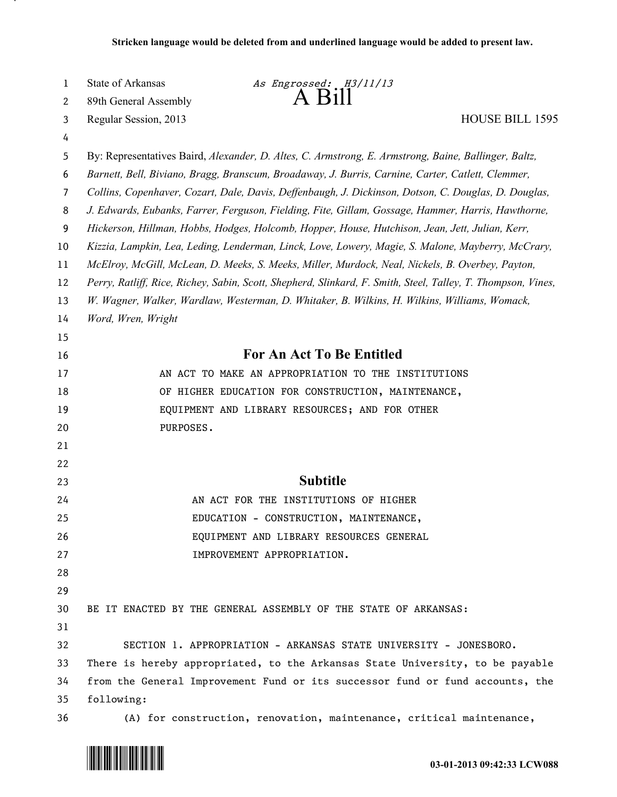| 1  | State of Arkansas                                                                                            | As Engrossed: H3/11/13                                                                               |
|----|--------------------------------------------------------------------------------------------------------------|------------------------------------------------------------------------------------------------------|
| 2  | 89th General Assembly                                                                                        | $A$ $B1$                                                                                             |
| 3  | Regular Session, 2013                                                                                        | <b>HOUSE BILL 1595</b>                                                                               |
| 4  |                                                                                                              |                                                                                                      |
| 5  |                                                                                                              | By: Representatives Baird, Alexander, D. Altes, C. Armstrong, E. Armstrong, Baine, Ballinger, Baltz, |
| 6  | Barnett, Bell, Biviano, Bragg, Branscum, Broadaway, J. Burris, Carnine, Carter, Catlett, Clemmer,            |                                                                                                      |
| 7  | Collins, Copenhaver, Cozart, Dale, Davis, Deffenbaugh, J. Dickinson, Dotson, C. Douglas, D. Douglas,         |                                                                                                      |
| 8  | J. Edwards, Eubanks, Farrer, Ferguson, Fielding, Fite, Gillam, Gossage, Hammer, Harris, Hawthorne,           |                                                                                                      |
| 9  | Hickerson, Hillman, Hobbs, Hodges, Holcomb, Hopper, House, Hutchison, Jean, Jett, Julian, Kerr,              |                                                                                                      |
| 10 | Kizzia, Lampkin, Lea, Leding, Lenderman, Linck, Love, Lowery, Magie, S. Malone, Mayberry, McCrary,           |                                                                                                      |
| 11 | McElroy, McGill, McLean, D. Meeks, S. Meeks, Miller, Murdock, Neal, Nickels, B. Overbey, Payton,             |                                                                                                      |
| 12 | Perry, Ratliff, Rice, Richey, Sabin, Scott, Shepherd, Slinkard, F. Smith, Steel, Talley, T. Thompson, Vines, |                                                                                                      |
| 13 |                                                                                                              | W. Wagner, Walker, Wardlaw, Westerman, D. Whitaker, B. Wilkins, H. Wilkins, Williams, Womack,        |
| 14 | Word, Wren, Wright                                                                                           |                                                                                                      |
| 15 |                                                                                                              |                                                                                                      |
| 16 |                                                                                                              | <b>For An Act To Be Entitled</b>                                                                     |
| 17 |                                                                                                              | AN ACT TO MAKE AN APPROPRIATION TO THE INSTITUTIONS                                                  |
| 18 |                                                                                                              | OF HIGHER EDUCATION FOR CONSTRUCTION, MAINTENANCE,                                                   |
| 19 |                                                                                                              | EQUIPMENT AND LIBRARY RESOURCES; AND FOR OTHER                                                       |
| 20 | PURPOSES.                                                                                                    |                                                                                                      |
| 21 |                                                                                                              |                                                                                                      |
| 22 |                                                                                                              |                                                                                                      |
| 23 |                                                                                                              | <b>Subtitle</b>                                                                                      |
| 24 |                                                                                                              | AN ACT FOR THE INSTITUTIONS OF HIGHER                                                                |
| 25 |                                                                                                              | EDUCATION - CONSTRUCTION, MAINTENANCE,                                                               |
| 26 |                                                                                                              | EQUIPMENT AND LIBRARY RESOURCES GENERAL                                                              |
| 27 |                                                                                                              | IMPROVEMENT APPROPRIATION.                                                                           |
| 28 |                                                                                                              |                                                                                                      |
| 29 |                                                                                                              |                                                                                                      |
| 30 |                                                                                                              | BE IT ENACTED BY THE GENERAL ASSEMBLY OF THE STATE OF ARKANSAS:                                      |
| 31 |                                                                                                              |                                                                                                      |
| 32 |                                                                                                              | SECTION 1. APPROPRIATION - ARKANSAS STATE UNIVERSITY - JONESBORO.                                    |
| 33 |                                                                                                              | There is hereby appropriated, to the Arkansas State University, to be payable                        |
| 34 |                                                                                                              | from the General Improvement Fund or its successor fund or fund accounts, the                        |
| 35 | following:                                                                                                   |                                                                                                      |
| 36 |                                                                                                              | (A) for construction, renovation, maintenance, critical maintenance,                                 |



.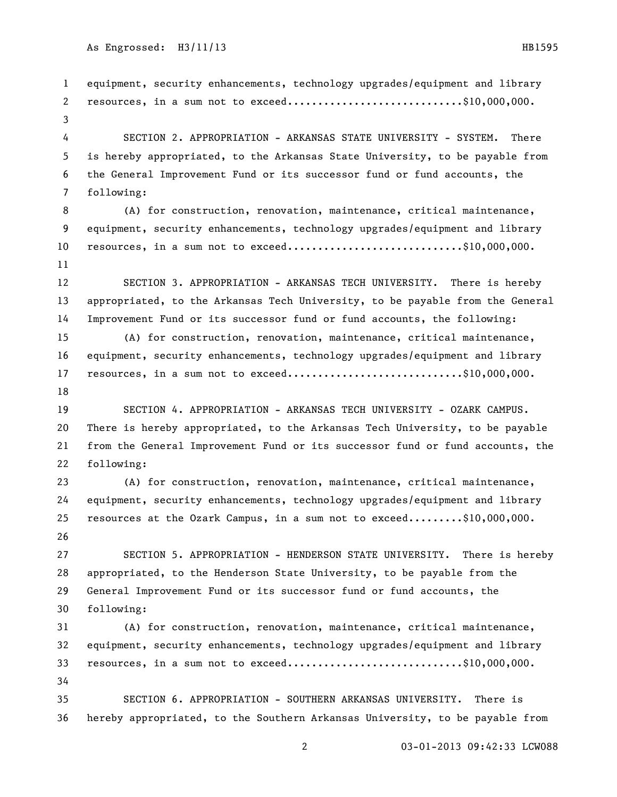equipment, security enhancements, technology upgrades/equipment and library 2 resources, in a sum not to exceed.............................\$10,000,000. SECTION 2. APPROPRIATION - ARKANSAS STATE UNIVERSITY - SYSTEM. There is hereby appropriated, to the Arkansas State University, to be payable from the General Improvement Fund or its successor fund or fund accounts, the following: (A) for construction, renovation, maintenance, critical maintenance, equipment, security enhancements, technology upgrades/equipment and library 10 resources, in a sum not to exceed.............................\$10,000,000. SECTION 3. APPROPRIATION - ARKANSAS TECH UNIVERSITY. There is hereby appropriated, to the Arkansas Tech University, to be payable from the General Improvement Fund or its successor fund or fund accounts, the following: (A) for construction, renovation, maintenance, critical maintenance, equipment, security enhancements, technology upgrades/equipment and library 17 resources, in a sum not to exceed.............................\$10,000,000. SECTION 4. APPROPRIATION - ARKANSAS TECH UNIVERSITY - OZARK CAMPUS. There is hereby appropriated, to the Arkansas Tech University, to be payable from the General Improvement Fund or its successor fund or fund accounts, the following: (A) for construction, renovation, maintenance, critical maintenance, equipment, security enhancements, technology upgrades/equipment and library resources at the Ozark Campus, in a sum not to exceed.........\$10,000,000. SECTION 5. APPROPRIATION - HENDERSON STATE UNIVERSITY. There is hereby appropriated, to the Henderson State University, to be payable from the General Improvement Fund or its successor fund or fund accounts, the following: (A) for construction, renovation, maintenance, critical maintenance, equipment, security enhancements, technology upgrades/equipment and library 33 resources, in a sum not to exceed..............................\$10,000,000. SECTION 6. APPROPRIATION - SOUTHERN ARKANSAS UNIVERSITY. There is hereby appropriated, to the Southern Arkansas University, to be payable from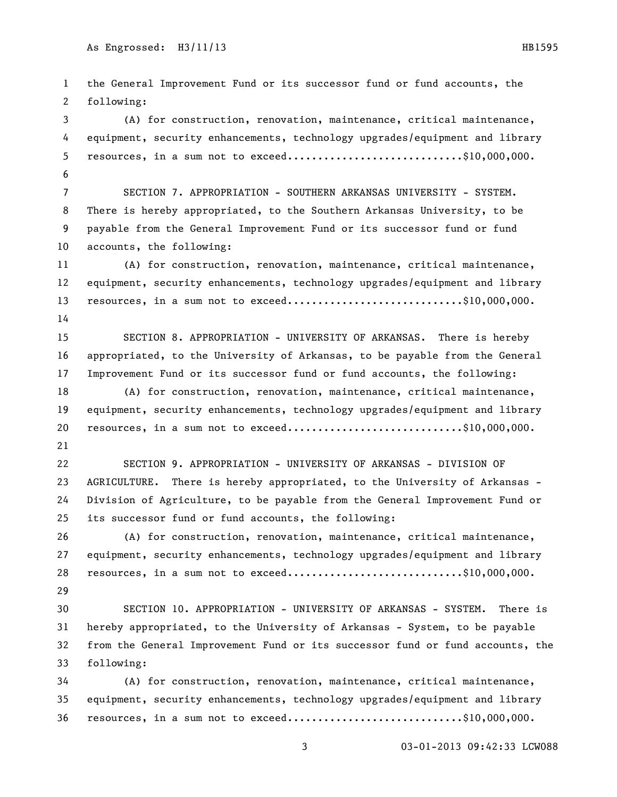the General Improvement Fund or its successor fund or fund accounts, the following: (A) for construction, renovation, maintenance, critical maintenance, equipment, security enhancements, technology upgrades/equipment and library 5 resources, in a sum not to exceed..............................\$10,000,000. SECTION 7. APPROPRIATION - SOUTHERN ARKANSAS UNIVERSITY - SYSTEM. There is hereby appropriated, to the Southern Arkansas University, to be payable from the General Improvement Fund or its successor fund or fund accounts, the following: (A) for construction, renovation, maintenance, critical maintenance, equipment, security enhancements, technology upgrades/equipment and library 13 resources, in a sum not to exceed.............................\$10,000,000. SECTION 8. APPROPRIATION - UNIVERSITY OF ARKANSAS. There is hereby appropriated, to the University of Arkansas, to be payable from the General Improvement Fund or its successor fund or fund accounts, the following: (A) for construction, renovation, maintenance, critical maintenance, equipment, security enhancements, technology upgrades/equipment and library 20 resources, in a sum not to exceed...............................\$10,000,000. SECTION 9. APPROPRIATION - UNIVERSITY OF ARKANSAS - DIVISION OF AGRICULTURE. There is hereby appropriated, to the University of Arkansas - Division of Agriculture, to be payable from the General Improvement Fund or its successor fund or fund accounts, the following: (A) for construction, renovation, maintenance, critical maintenance, equipment, security enhancements, technology upgrades/equipment and library 28 resources, in a sum not to exceed..............................\$10,000,000. SECTION 10. APPROPRIATION - UNIVERSITY OF ARKANSAS - SYSTEM. There is hereby appropriated, to the University of Arkansas - System, to be payable from the General Improvement Fund or its successor fund or fund accounts, the following: (A) for construction, renovation, maintenance, critical maintenance, equipment, security enhancements, technology upgrades/equipment and library resources, in a sum not to exceed.............................\$10,000,000.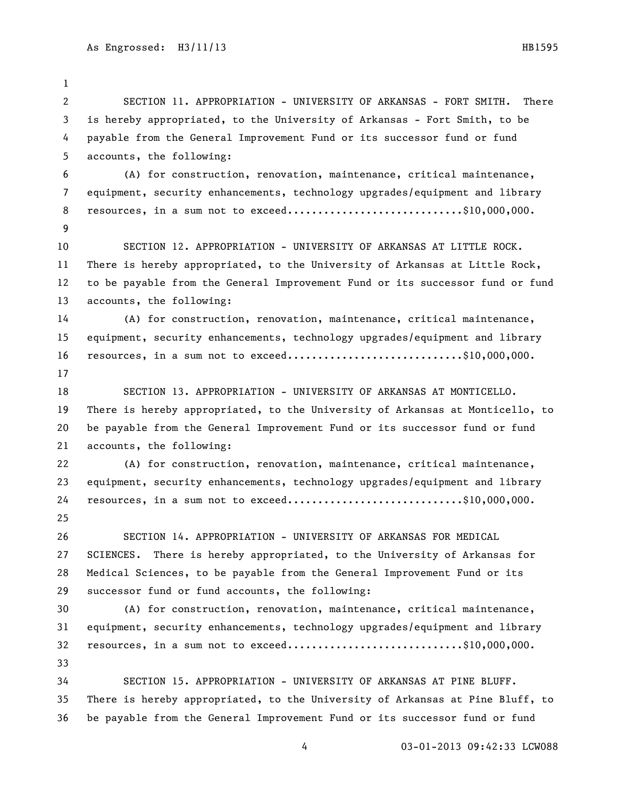SECTION 11. APPROPRIATION - UNIVERSITY OF ARKANSAS - FORT SMITH. There is hereby appropriated, to the University of Arkansas - Fort Smith, to be payable from the General Improvement Fund or its successor fund or fund accounts, the following: (A) for construction, renovation, maintenance, critical maintenance, equipment, security enhancements, technology upgrades/equipment and library 8 resources, in a sum not to exceed.............................\$10,000,000. SECTION 12. APPROPRIATION - UNIVERSITY OF ARKANSAS AT LITTLE ROCK. There is hereby appropriated, to the University of Arkansas at Little Rock, to be payable from the General Improvement Fund or its successor fund or fund accounts, the following: (A) for construction, renovation, maintenance, critical maintenance, equipment, security enhancements, technology upgrades/equipment and library 16 resources, in a sum not to exceed...............................\$10,000,000. SECTION 13. APPROPRIATION - UNIVERSITY OF ARKANSAS AT MONTICELLO. There is hereby appropriated, to the University of Arkansas at Monticello, to be payable from the General Improvement Fund or its successor fund or fund accounts, the following: (A) for construction, renovation, maintenance, critical maintenance, equipment, security enhancements, technology upgrades/equipment and library 24 resources, in a sum not to exceed.............................\$10,000,000. SECTION 14. APPROPRIATION - UNIVERSITY OF ARKANSAS FOR MEDICAL SCIENCES. There is hereby appropriated, to the University of Arkansas for Medical Sciences, to be payable from the General Improvement Fund or its successor fund or fund accounts, the following: (A) for construction, renovation, maintenance, critical maintenance, equipment, security enhancements, technology upgrades/equipment and library 32 resources, in a sum not to exceed.............................\$10,000,000. SECTION 15. APPROPRIATION - UNIVERSITY OF ARKANSAS AT PINE BLUFF. There is hereby appropriated, to the University of Arkansas at Pine Bluff, to be payable from the General Improvement Fund or its successor fund or fund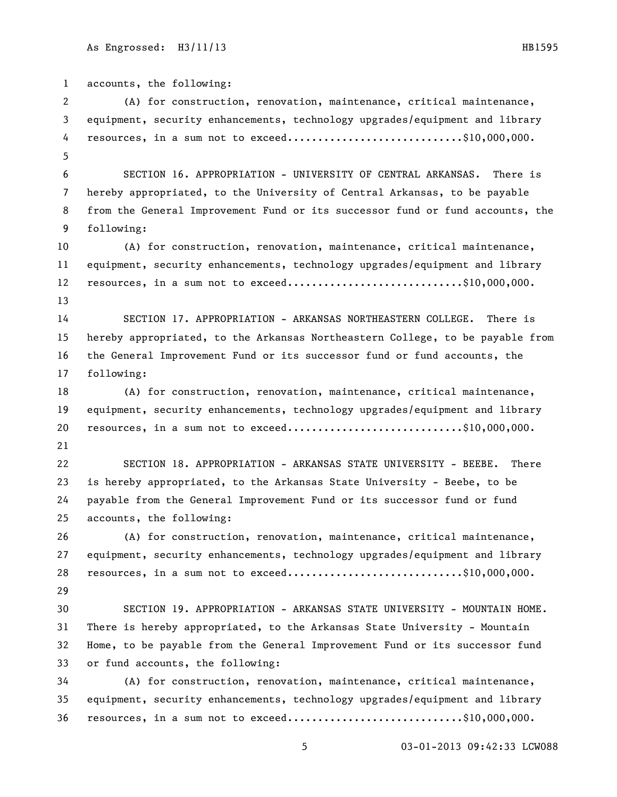accounts, the following: (A) for construction, renovation, maintenance, critical maintenance, equipment, security enhancements, technology upgrades/equipment and library 4 resources, in a sum not to exceed.............................\$10,000,000. SECTION 16. APPROPRIATION - UNIVERSITY OF CENTRAL ARKANSAS. There is hereby appropriated, to the University of Central Arkansas, to be payable from the General Improvement Fund or its successor fund or fund accounts, the following: (A) for construction, renovation, maintenance, critical maintenance, equipment, security enhancements, technology upgrades/equipment and library 12 resources, in a sum not to exceed.............................\$10,000,000. SECTION 17. APPROPRIATION - ARKANSAS NORTHEASTERN COLLEGE. There is hereby appropriated, to the Arkansas Northeastern College, to be payable from the General Improvement Fund or its successor fund or fund accounts, the following: (A) for construction, renovation, maintenance, critical maintenance, equipment, security enhancements, technology upgrades/equipment and library 20 resources, in a sum not to exceed...............................\$10,000,000. SECTION 18. APPROPRIATION - ARKANSAS STATE UNIVERSITY - BEEBE. There is hereby appropriated, to the Arkansas State University - Beebe, to be payable from the General Improvement Fund or its successor fund or fund accounts, the following: (A) for construction, renovation, maintenance, critical maintenance, equipment, security enhancements, technology upgrades/equipment and library 28 resources, in a sum not to exceed..............................\$10,000,000. SECTION 19. APPROPRIATION - ARKANSAS STATE UNIVERSITY - MOUNTAIN HOME. There is hereby appropriated, to the Arkansas State University - Mountain Home, to be payable from the General Improvement Fund or its successor fund or fund accounts, the following: (A) for construction, renovation, maintenance, critical maintenance, equipment, security enhancements, technology upgrades/equipment and library 36 resources, in a sum not to exceed.............................\$10,000,000.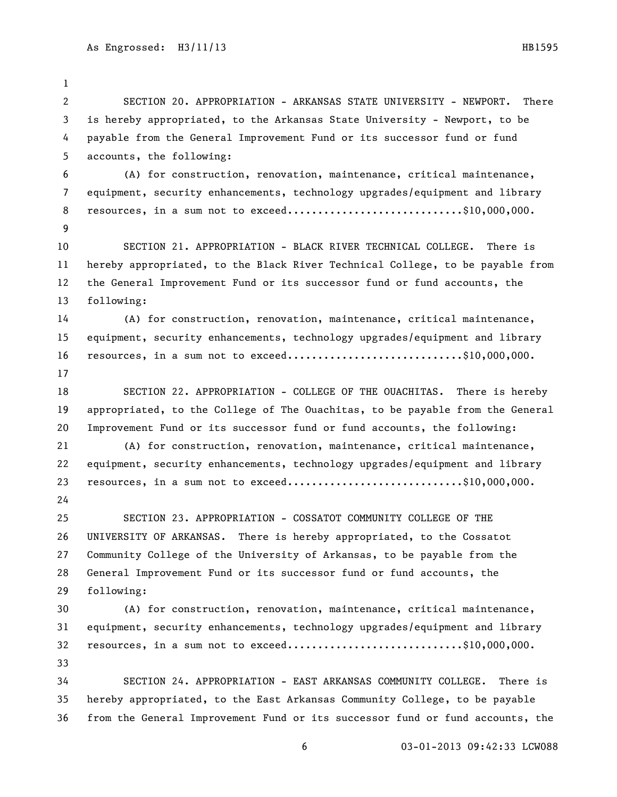SECTION 20. APPROPRIATION - ARKANSAS STATE UNIVERSITY - NEWPORT. There is hereby appropriated, to the Arkansas State University - Newport, to be payable from the General Improvement Fund or its successor fund or fund accounts, the following: (A) for construction, renovation, maintenance, critical maintenance, equipment, security enhancements, technology upgrades/equipment and library 8 resources, in a sum not to exceed.............................\$10,000,000. SECTION 21. APPROPRIATION - BLACK RIVER TECHNICAL COLLEGE. There is hereby appropriated, to the Black River Technical College, to be payable from the General Improvement Fund or its successor fund or fund accounts, the following: (A) for construction, renovation, maintenance, critical maintenance, equipment, security enhancements, technology upgrades/equipment and library 16 resources, in a sum not to exceed...............................\$10,000,000. SECTION 22. APPROPRIATION - COLLEGE OF THE OUACHITAS. There is hereby appropriated, to the College of The Ouachitas, to be payable from the General Improvement Fund or its successor fund or fund accounts, the following: (A) for construction, renovation, maintenance, critical maintenance, equipment, security enhancements, technology upgrades/equipment and library 23 resources, in a sum not to exceed..............................\$10,000,000. SECTION 23. APPROPRIATION - COSSATOT COMMUNITY COLLEGE OF THE UNIVERSITY OF ARKANSAS. There is hereby appropriated, to the Cossatot Community College of the University of Arkansas, to be payable from the General Improvement Fund or its successor fund or fund accounts, the following: (A) for construction, renovation, maintenance, critical maintenance, equipment, security enhancements, technology upgrades/equipment and library 32 resources, in a sum not to exceed.............................\$10,000,000. SECTION 24. APPROPRIATION - EAST ARKANSAS COMMUNITY COLLEGE. There is hereby appropriated, to the East Arkansas Community College, to be payable from the General Improvement Fund or its successor fund or fund accounts, the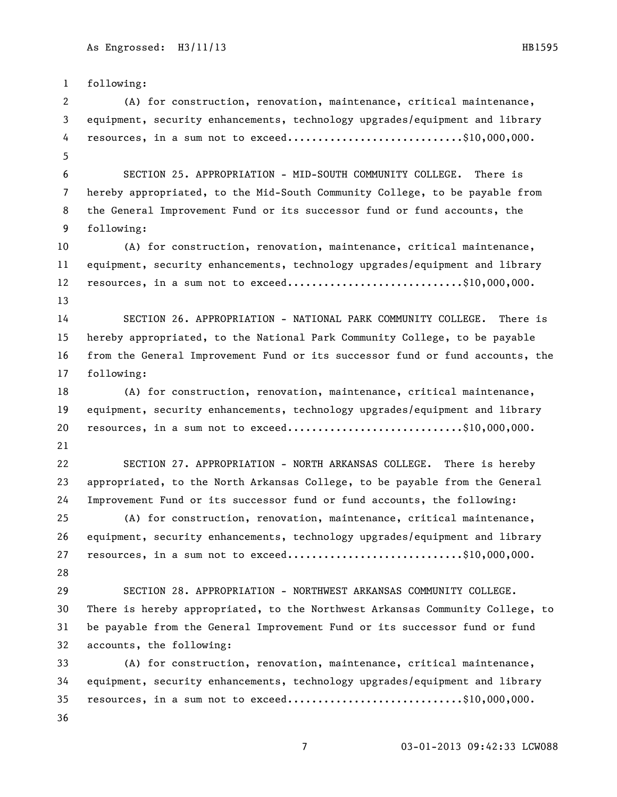following: (A) for construction, renovation, maintenance, critical maintenance, equipment, security enhancements, technology upgrades/equipment and library 4 resources, in a sum not to exceed.............................\$10,000,000. SECTION 25. APPROPRIATION - MID-SOUTH COMMUNITY COLLEGE. There is hereby appropriated, to the Mid-South Community College, to be payable from the General Improvement Fund or its successor fund or fund accounts, the following: (A) for construction, renovation, maintenance, critical maintenance, equipment, security enhancements, technology upgrades/equipment and library 12 resources, in a sum not to exceed.............................\$10,000,000. SECTION 26. APPROPRIATION - NATIONAL PARK COMMUNITY COLLEGE. There is hereby appropriated, to the National Park Community College, to be payable from the General Improvement Fund or its successor fund or fund accounts, the following: (A) for construction, renovation, maintenance, critical maintenance, equipment, security enhancements, technology upgrades/equipment and library 20 resources, in a sum not to exceed...............................\$10,000,000. SECTION 27. APPROPRIATION - NORTH ARKANSAS COLLEGE. There is hereby appropriated, to the North Arkansas College, to be payable from the General Improvement Fund or its successor fund or fund accounts, the following: (A) for construction, renovation, maintenance, critical maintenance, equipment, security enhancements, technology upgrades/equipment and library 27 resources, in a sum not to exceed................................\$10,000,000. SECTION 28. APPROPRIATION - NORTHWEST ARKANSAS COMMUNITY COLLEGE. There is hereby appropriated, to the Northwest Arkansas Community College, to be payable from the General Improvement Fund or its successor fund or fund accounts, the following: (A) for construction, renovation, maintenance, critical maintenance, equipment, security enhancements, technology upgrades/equipment and library 35 resources, in a sum not to exceed.............................\$10,000,000.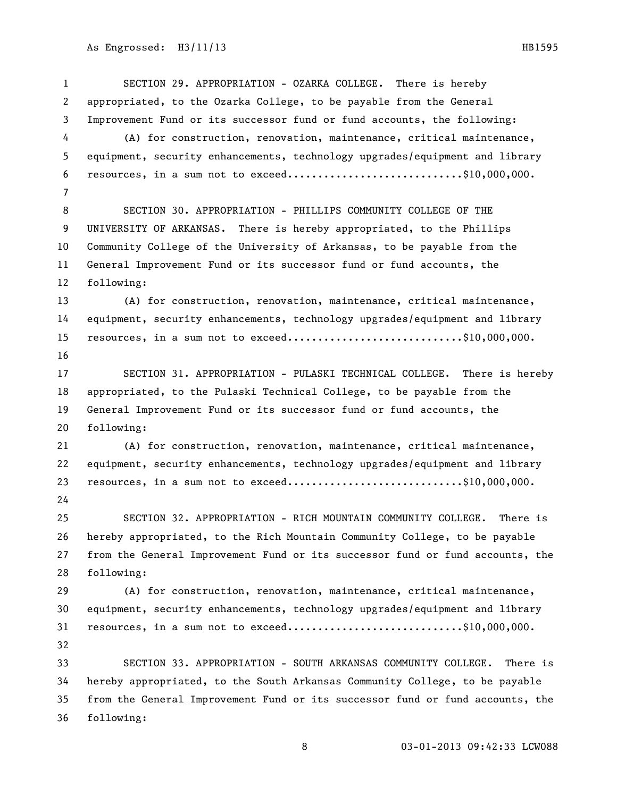SECTION 29. APPROPRIATION - OZARKA COLLEGE. There is hereby appropriated, to the Ozarka College, to be payable from the General Improvement Fund or its successor fund or fund accounts, the following: (A) for construction, renovation, maintenance, critical maintenance, equipment, security enhancements, technology upgrades/equipment and library 6 resources, in a sum not to exceed.............................\$10,000,000. SECTION 30. APPROPRIATION - PHILLIPS COMMUNITY COLLEGE OF THE UNIVERSITY OF ARKANSAS. There is hereby appropriated, to the Phillips Community College of the University of Arkansas, to be payable from the General Improvement Fund or its successor fund or fund accounts, the following: (A) for construction, renovation, maintenance, critical maintenance, equipment, security enhancements, technology upgrades/equipment and library 15 resources, in a sum not to exceed.............................\$10,000,000. SECTION 31. APPROPRIATION - PULASKI TECHNICAL COLLEGE. There is hereby appropriated, to the Pulaski Technical College, to be payable from the General Improvement Fund or its successor fund or fund accounts, the following: (A) for construction, renovation, maintenance, critical maintenance, equipment, security enhancements, technology upgrades/equipment and library 23 resources, in a sum not to exceed..............................\$10,000,000. SECTION 32. APPROPRIATION - RICH MOUNTAIN COMMUNITY COLLEGE. There is hereby appropriated, to the Rich Mountain Community College, to be payable from the General Improvement Fund or its successor fund or fund accounts, the following: (A) for construction, renovation, maintenance, critical maintenance, equipment, security enhancements, technology upgrades/equipment and library 31 resources, in a sum not to exceed.............................\$10,000,000. SECTION 33. APPROPRIATION - SOUTH ARKANSAS COMMUNITY COLLEGE. There is hereby appropriated, to the South Arkansas Community College, to be payable from the General Improvement Fund or its successor fund or fund accounts, the following: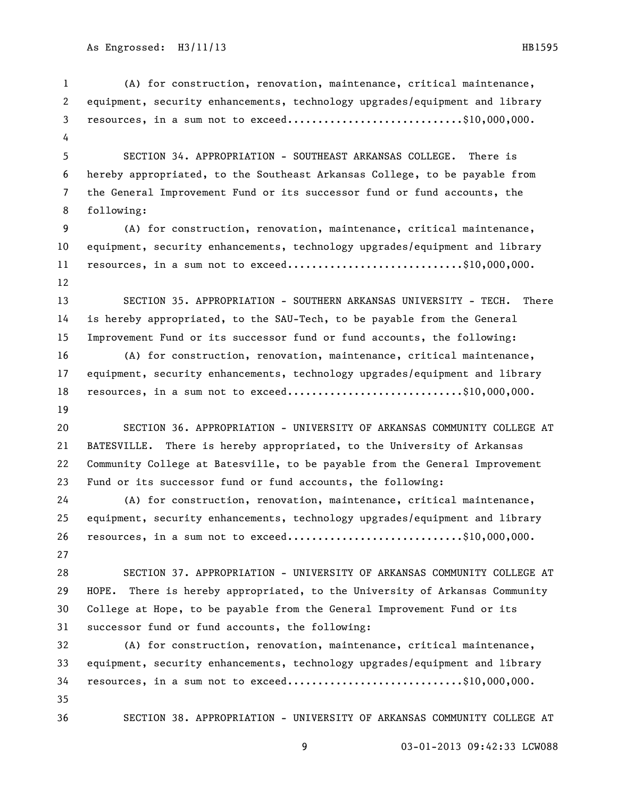03-01-2013 09:42:33 LCW088 (A) for construction, renovation, maintenance, critical maintenance, equipment, security enhancements, technology upgrades/equipment and library resources, in a sum not to exceed.............................\$10,000,000. SECTION 34. APPROPRIATION - SOUTHEAST ARKANSAS COLLEGE. There is hereby appropriated, to the Southeast Arkansas College, to be payable from the General Improvement Fund or its successor fund or fund accounts, the following: (A) for construction, renovation, maintenance, critical maintenance, equipment, security enhancements, technology upgrades/equipment and library 11 resources, in a sum not to exceed.............................\$10,000,000. SECTION 35. APPROPRIATION - SOUTHERN ARKANSAS UNIVERSITY - TECH. There is hereby appropriated, to the SAU-Tech, to be payable from the General Improvement Fund or its successor fund or fund accounts, the following: (A) for construction, renovation, maintenance, critical maintenance, equipment, security enhancements, technology upgrades/equipment and library 18 resources, in a sum not to exceed.............................\$10,000,000. SECTION 36. APPROPRIATION - UNIVERSITY OF ARKANSAS COMMUNITY COLLEGE AT BATESVILLE. There is hereby appropriated, to the University of Arkansas Community College at Batesville, to be payable from the General Improvement Fund or its successor fund or fund accounts, the following: (A) for construction, renovation, maintenance, critical maintenance, equipment, security enhancements, technology upgrades/equipment and library 26 resources, in a sum not to exceed.............................\$10,000,000. SECTION 37. APPROPRIATION - UNIVERSITY OF ARKANSAS COMMUNITY COLLEGE AT HOPE. There is hereby appropriated, to the University of Arkansas Community College at Hope, to be payable from the General Improvement Fund or its successor fund or fund accounts, the following: (A) for construction, renovation, maintenance, critical maintenance, equipment, security enhancements, technology upgrades/equipment and library resources, in a sum not to exceed.............................\$10,000,000. SECTION 38. APPROPRIATION - UNIVERSITY OF ARKANSAS COMMUNITY COLLEGE AT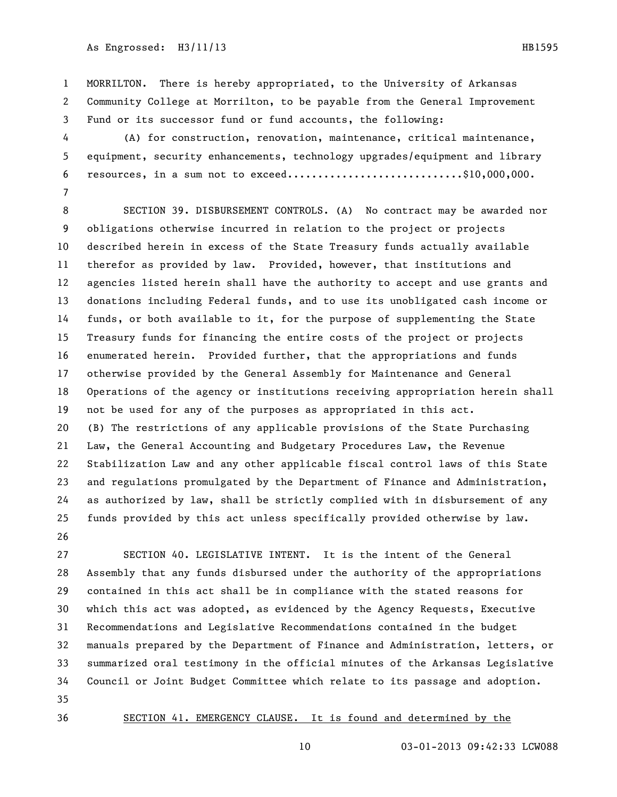MORRILTON. There is hereby appropriated, to the University of Arkansas Community College at Morrilton, to be payable from the General Improvement Fund or its successor fund or fund accounts, the following:

 (A) for construction, renovation, maintenance, critical maintenance, equipment, security enhancements, technology upgrades/equipment and library 6 resources, in a sum not to exceed.............................\$10,000,000. 

 SECTION 39. DISBURSEMENT CONTROLS. (A) No contract may be awarded nor obligations otherwise incurred in relation to the project or projects described herein in excess of the State Treasury funds actually available therefor as provided by law. Provided, however, that institutions and agencies listed herein shall have the authority to accept and use grants and donations including Federal funds, and to use its unobligated cash income or funds, or both available to it, for the purpose of supplementing the State Treasury funds for financing the entire costs of the project or projects enumerated herein. Provided further, that the appropriations and funds otherwise provided by the General Assembly for Maintenance and General Operations of the agency or institutions receiving appropriation herein shall not be used for any of the purposes as appropriated in this act. (B) The restrictions of any applicable provisions of the State Purchasing Law, the General Accounting and Budgetary Procedures Law, the Revenue Stabilization Law and any other applicable fiscal control laws of this State and regulations promulgated by the Department of Finance and Administration, as authorized by law, shall be strictly complied with in disbursement of any funds provided by this act unless specifically provided otherwise by law. 

 SECTION 40. LEGISLATIVE INTENT. It is the intent of the General Assembly that any funds disbursed under the authority of the appropriations contained in this act shall be in compliance with the stated reasons for which this act was adopted, as evidenced by the Agency Requests, Executive Recommendations and Legislative Recommendations contained in the budget manuals prepared by the Department of Finance and Administration, letters, or summarized oral testimony in the official minutes of the Arkansas Legislative Council or Joint Budget Committee which relate to its passage and adoption. 

## SECTION 41. EMERGENCY CLAUSE. It is found and determined by the